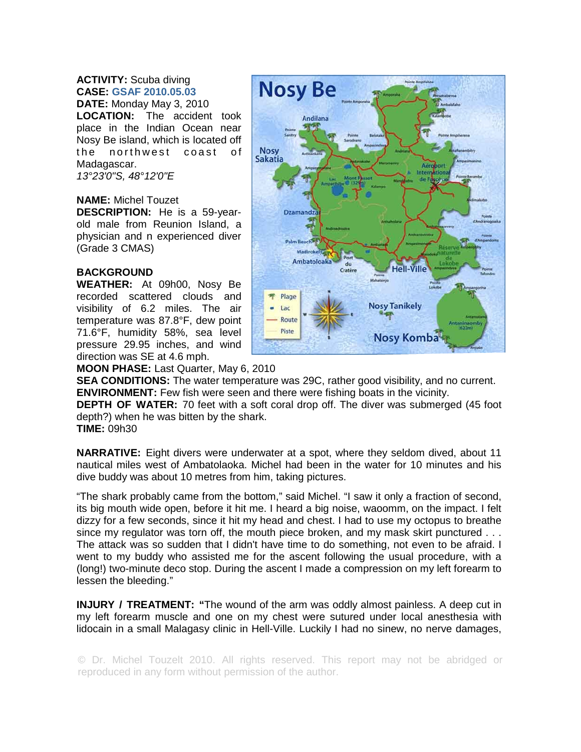## **ACTIVITY:** Scuba diving **CASE: GSAF 2010.05.03**

**DATE:** Monday May 3, 2010 **LOCATION:** The accident took place in the Indian Ocean near Nosy Be island, which is located off the northwest coast of Madagascar. *13°23'0"S, 48°12'0"E* 

## **NAME:** Michel Touzet

**DESCRIPTION:** He is a 59-yearold male from Reunion Island, a physician and n experienced diver (Grade 3 CMAS)

## **BACKGROUND**

**WEATHER:** At 09h00, Nosy Be recorded scattered clouds and visibility of 6.2 miles. The air temperature was 87.8°F, dew point 71.6°F, humidity 58%, sea level pressure 29.95 inches, and wind direction was SE at 4.6 mph.



## **MOON PHASE:** Last Quarter, May 6, 2010

**SEA CONDITIONS:** The water temperature was 29C, rather good visibility, and no current. **ENVIRONMENT:** Few fish were seen and there were fishing boats in the vicinity.

**DEPTH OF WATER:** 70 feet with a soft coral drop off. The diver was submerged (45 foot depth?) when he was bitten by the shark.

**TIME:** 09h30

**NARRATIVE:** Eight divers were underwater at a spot, where they seldom dived, about 11 nautical miles west of Ambatolaoka. Michel had been in the water for 10 minutes and his dive buddy was about 10 metres from him, taking pictures.

"The shark probably came from the bottom," said Michel. "I saw it only a fraction of second, its big mouth wide open, before it hit me. I heard a big noise, waoomm, on the impact. I felt dizzy for a few seconds, since it hit my head and chest. I had to use my octopus to breathe since my regulator was torn off, the mouth piece broken, and my mask skirt punctured . . . The attack was so sudden that I didn't have time to do something, not even to be afraid. I went to my buddy who assisted me for the ascent following the usual procedure, with a (long!) two-minute deco stop. During the ascent I made a compression on my left forearm to lessen the bleeding."

**INJURY / TREATMENT: "**The wound of the arm was oddly almost painless. A deep cut in my left forearm muscle and one on my chest were sutured under local anesthesia with lidocain in a small Malagasy clinic in Hell-Ville. Luckily I had no sinew, no nerve damages,

© Dr. Michel Touzelt 2010. All rights reserved. This report may not be abridged or reproduced in any form without permission of the author.